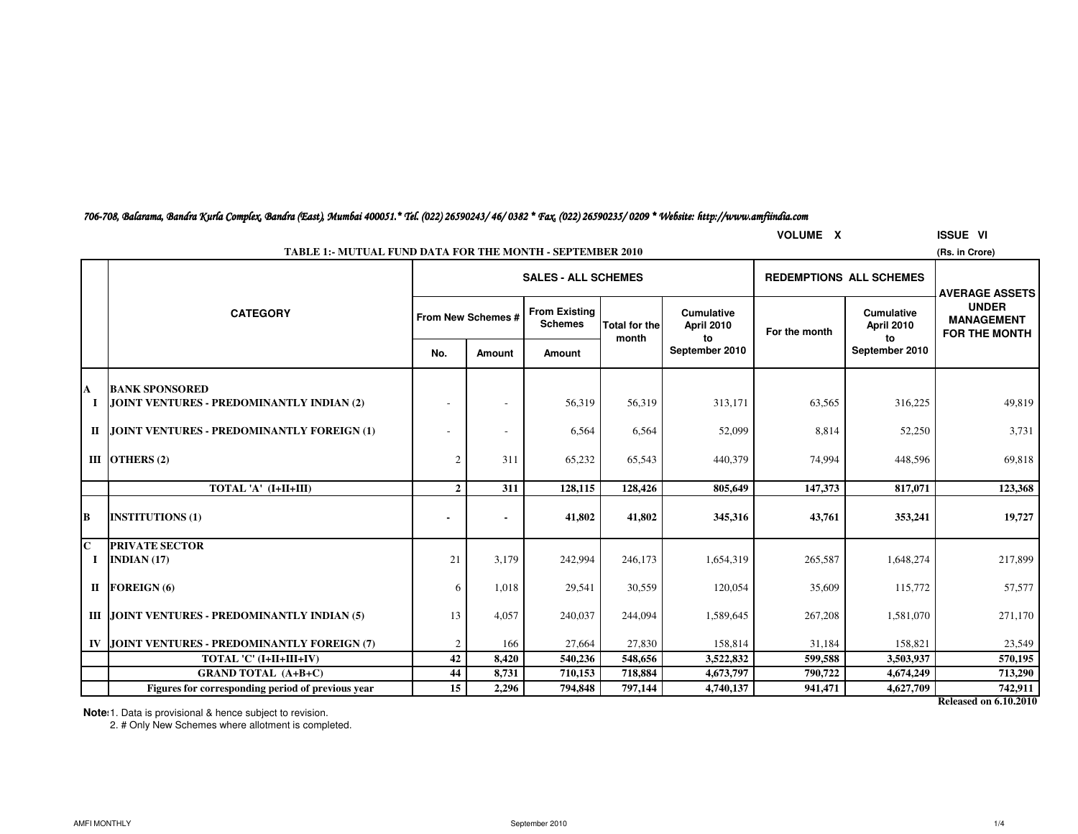| 706-708, Balarama, Bandra Kurla Complex, Bandra (East), Mumbai 400051.* Tel. (022) 26590243/46/0382 * Fax, (022) 26590235/0209 * Website: http://www.amfiindia.com |  |  |  |
|--------------------------------------------------------------------------------------------------------------------------------------------------------------------|--|--|--|
|--------------------------------------------------------------------------------------------------------------------------------------------------------------------|--|--|--|

|                                         | <b>VOLUME X</b><br><b>ISSUE VI</b>                                                 |                    |               |                                        |                               |                                        |               |                                       |                                                    |  |  |  |  |
|-----------------------------------------|------------------------------------------------------------------------------------|--------------------|---------------|----------------------------------------|-------------------------------|----------------------------------------|---------------|---------------------------------------|----------------------------------------------------|--|--|--|--|
|                                         | <b>TABLE 1:- MUTUAL FUND DATA FOR THE MONTH - SEPTEMBER 2010</b><br>(Rs. in Crore) |                    |               |                                        |                               |                                        |               |                                       |                                                    |  |  |  |  |
|                                         |                                                                                    |                    |               | <b>SALES - ALL SCHEMES</b>             |                               |                                        |               | <b>REDEMPTIONS ALL SCHEMES</b>        | <b>AVERAGE ASSETS</b>                              |  |  |  |  |
|                                         | <b>CATEGORY</b>                                                                    | From New Schemes # |               | <b>From Existing</b><br><b>Schemes</b> | <b>Total for the</b><br>month | <b>Cumulative</b><br><b>April 2010</b> | For the month | <b>Cumulative</b><br>April 2010<br>to | <b>UNDER</b><br><b>MANAGEMENT</b><br>FOR THE MONTH |  |  |  |  |
|                                         |                                                                                    | No.                | <b>Amount</b> | Amount                                 |                               | to<br>September 2010                   |               | September 2010                        |                                                    |  |  |  |  |
| A                                       | <b>BANK SPONSORED</b>                                                              |                    |               |                                        |                               |                                        |               |                                       |                                                    |  |  |  |  |
|                                         | JOINT VENTURES - PREDOMINANTLY INDIAN (2)                                          |                    |               | 56,319                                 | 56,319                        | 313,171                                | 63,565        | 316,225                               | 49,819                                             |  |  |  |  |
|                                         | II JOINT VENTURES - PREDOMINANTLY FOREIGN (1)                                      |                    |               | 6,564                                  | 6,564                         | 52,099                                 | 8,814         | 52,250                                | 3,731                                              |  |  |  |  |
|                                         | III OTHERS $(2)$                                                                   | 2                  | 311           | 65,232                                 | 65,543                        | 440,379                                | 74,994        | 448,596                               | 69,818                                             |  |  |  |  |
|                                         | TOTAL 'A' (I+II+III)                                                               | $\overline{2}$     | 311           | 128,115                                | 128,426                       | 805,649                                | 147,373       | 817,071                               | 123,368                                            |  |  |  |  |
| B                                       | <b>INSTITUTIONS (1)</b>                                                            |                    |               | 41,802                                 | 41,802                        | 345,316                                | 43,761        | 353,241                               | 19,727                                             |  |  |  |  |
| $\overline{\mathbf{C}}$<br>$\mathbf{I}$ | <b>PRIVATE SECTOR</b><br>INDIAN $(17)$                                             | 21                 | 3,179         | 242,994                                | 246,173                       | 1,654,319                              | 265,587       | 1,648,274                             | 217,899                                            |  |  |  |  |
|                                         | II FOREIGN $(6)$                                                                   | 6                  | 1,018         | 29,541                                 | 30,559                        | 120,054                                | 35,609        | 115,772                               | 57,577                                             |  |  |  |  |
|                                         | III JOINT VENTURES - PREDOMINANTLY INDIAN (5)                                      | 13                 | 4,057         | 240,037                                | 244,094                       | 1,589,645                              | 267,208       | 1,581,070                             | 271,170                                            |  |  |  |  |
|                                         | IV JJOINT VENTURES - PREDOMINANTLY FOREIGN (7)                                     | 2                  | 166           | 27,664                                 | 27,830                        | 158,814                                | 31,184        | 158,821                               | 23,549                                             |  |  |  |  |
|                                         | TOTAL 'C' (I+II+III+IV)                                                            | 42                 | 8,420         | 540,236                                | 548,656                       | 3,522,832                              | 599,588       | 3,503,937                             | 570,195                                            |  |  |  |  |
|                                         | <b>GRAND TOTAL (A+B+C)</b>                                                         | 44                 | 8,731         | 710,153                                | 718,884                       | 4,673,797                              | 790,722       | 4,674,249                             | 713,290                                            |  |  |  |  |
|                                         | Figures for corresponding period of previous year                                  | 15                 | 2,296         | 794,848                                | 797,144                       | 4,740,137                              | 941,471       | 4,627,709                             | 742,911                                            |  |  |  |  |

**Note**: 1. Data is provisional & hence subject to revision.

2. # Only New Schemes where allotment is completed.

**Released on 6.10.2010**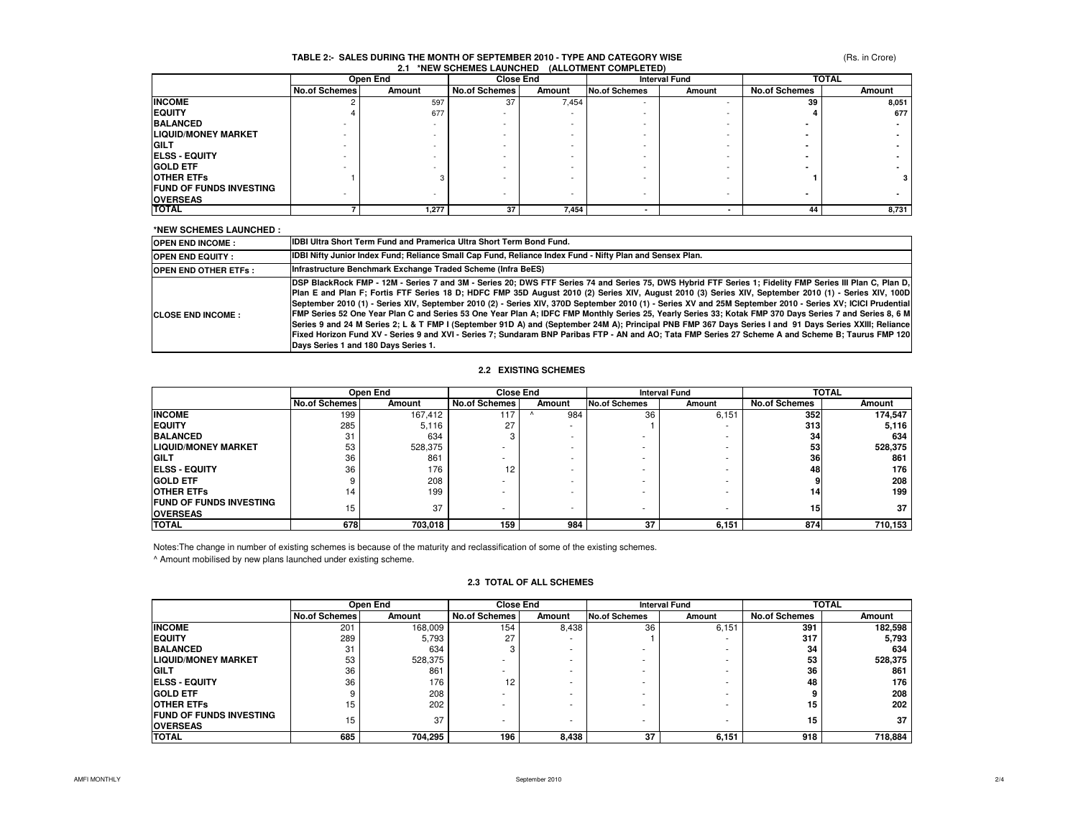### (Rs. in Crore)

### **TABLE 2:- SALES DURING THE MONTH OF SEPTEMBER 2010 - TYPE AND CATEGORY WISE2.1 \*NEW SCHEMES LAUNCHED (ALLOTMENT COMPLETED)**

|                                |                      | Open End |                      | <b>Close End</b> |                      | <b>Interval Fund</b> |                      | <b>TOTAL</b> |  |
|--------------------------------|----------------------|----------|----------------------|------------------|----------------------|----------------------|----------------------|--------------|--|
|                                | <b>No.of Schemes</b> | Amount   | <b>No.of Schemes</b> | Amount           | <b>No.of Schemes</b> | Amount               | <b>No.of Schemes</b> | Amount       |  |
| <b>INCOME</b>                  |                      | 597      | 37                   | 7,454            | <b>.</b>             |                      | 39                   | 8,051        |  |
| <b>EQUITY</b>                  |                      | 677      |                      |                  |                      |                      |                      | 677          |  |
| <b>BALANCED</b>                |                      |          |                      |                  |                      |                      |                      |              |  |
| <b>LIQUID/MONEY MARKET</b>     |                      |          |                      |                  |                      |                      |                      |              |  |
| <b>GILT</b>                    |                      |          |                      |                  |                      |                      |                      |              |  |
| <b>ELSS - EQUITY</b>           |                      |          |                      |                  |                      |                      |                      |              |  |
| <b>GOLD ETF</b>                |                      |          |                      |                  |                      |                      |                      |              |  |
| <b>OTHER ETFS</b>              |                      | з        |                      |                  |                      |                      |                      |              |  |
| <b>FUND OF FUNDS INVESTING</b> |                      |          |                      |                  |                      |                      |                      |              |  |
| <b>OVERSEAS</b>                |                      |          | -                    |                  |                      |                      |                      |              |  |
| <b>TOTAL</b>                   |                      | 1,277    | 37                   | 7,454            |                      |                      | 44                   | 8,731        |  |

### **\*NEW SCHEMES LAUNCHED :**

| <b>OPEN END INCOME:</b>       | <b>IDBI Ultra Short Term Fund and Pramerica Ultra Short Term Bond Fund.</b>                                                                                                                                                                                                                                                                                                                                                                                                                                                                                                                                                                                                                                                                                                                                                                                                                                                                                                                           |
|-------------------------------|-------------------------------------------------------------------------------------------------------------------------------------------------------------------------------------------------------------------------------------------------------------------------------------------------------------------------------------------------------------------------------------------------------------------------------------------------------------------------------------------------------------------------------------------------------------------------------------------------------------------------------------------------------------------------------------------------------------------------------------------------------------------------------------------------------------------------------------------------------------------------------------------------------------------------------------------------------------------------------------------------------|
| <b>OPEN END EQUITY:</b>       | IDBI Nifty Junior Index Fund; Reliance Small Cap Fund, Reliance Index Fund - Nifty Plan and Sensex Plan.                                                                                                                                                                                                                                                                                                                                                                                                                                                                                                                                                                                                                                                                                                                                                                                                                                                                                              |
| <b>IOPEN END OTHER ETFS :</b> | Infrastructure Benchmark Exchange Traded Scheme (Infra BeES)                                                                                                                                                                                                                                                                                                                                                                                                                                                                                                                                                                                                                                                                                                                                                                                                                                                                                                                                          |
| <b>ICLOSE END INCOME:</b>     | DSP BlackRock FMP - 12M - Series 7 and 3M - Series 20; DWS FTF Series 74 and Series 75, DWS Hybrid FTF Series 1; Fidelity FMP Series III Plan C, Plan D,<br>Plan E and Plan F; Fortis FTF Series 18 D; HDFC FMP 35D August 2010 (2) Series XIV, August 2010 (3) Series XIV, September 2010 (1) - Series XIV, 100D<br>September 2010 (1) - Series XIV, September 2010 (2) - Series XIV, 370D September 2010 (1) - Series XV and 25M September 2010 - Series XV; ICICI Prudential<br>FMP Series 52 One Year Plan C and Series 53 One Year Plan A; IDFC FMP Monthly Series 25, Yearly Series 33; Kotak FMP 370 Days Series 7 and Series 8, 6 M<br>Series 9 and 24 M Series 2; L & T FMP I (September 91D A) and (September 24M A); Principal PNB FMP 367 Days Series I and 91 Days Series XXIII; Reliance<br>Fixed Horizon Fund XV - Series 9 and XVI - Series 7; Sundaram BNP Paribas FTP - AN and AO; Tata FMP Series 27 Scheme A and Scheme B; Taurus FMP 120<br>Days Series 1 and 180 Days Series 1. |

### **2.2 EXISTING SCHEMES**

|                                                   |                      | Open End | <b>Close End</b>     |        | <b>Interval Fund</b> |        | <b>TOTAL</b>         |         |
|---------------------------------------------------|----------------------|----------|----------------------|--------|----------------------|--------|----------------------|---------|
|                                                   | <b>No.of Schemes</b> | Amount   | <b>No.of Schemes</b> | Amount | <b>No.of Schemes</b> | Amount | <b>No.of Schemes</b> | Amount  |
| <b>INCOME</b>                                     | 199                  | 167,412  | 117                  | 984    | 36                   | 6,151  | 352                  | 174,547 |
| <b>EQUITY</b>                                     | 285                  | 5,116    | 27                   |        |                      |        | 313                  | 5,116   |
| <b>BALANCED</b>                                   | 31                   | 634      |                      |        |                      | ۰      | 34                   | 634     |
| <b>LIQUID/MONEY MARKET</b>                        | 53                   | 528,375  |                      |        |                      |        | 53                   | 528,375 |
| <b>GILT</b>                                       | 36                   | 861      | -                    |        |                      |        | 36                   | 861     |
| <b>IELSS - EQUITY</b>                             | 36                   | 176      | 12                   |        |                      |        | 48                   | 176     |
| <b>GOLD ETF</b>                                   |                      | 208      | -                    |        |                      |        |                      | 208     |
| <b>OTHER ETFS</b>                                 | 14                   | 199      |                      |        |                      |        | 14                   | 199     |
| <b>FUND OF FUNDS INVESTING</b><br><b>OVERSEAS</b> | 15                   | 37       |                      |        |                      | ۰      | 15                   | 37      |
| <b>TOTAL</b>                                      | 678                  | 703,018  | 159                  | 984    | 37                   | 6,151  | 874                  | 710,153 |

Notes:The change in number of existing schemes is because of the maturity and reclassification of some of the existing schemes.

^ Amount mobilised by new plans launched under existing scheme.

### **2.3 TOTAL OF ALL SCHEMES**

|                                |                      | Open End |                      | <b>Close End</b> |                      | <b>Interval Fund</b> |                      | <b>TOTAL</b> |  |
|--------------------------------|----------------------|----------|----------------------|------------------|----------------------|----------------------|----------------------|--------------|--|
|                                | <b>No.of Schemes</b> | Amount   | <b>No.of Schemes</b> | Amount           | <b>No.of Schemes</b> | Amount               | <b>No.of Schemes</b> | Amount       |  |
| <b>INCOME</b>                  | 201                  | 168,009  | 154                  | 8.438            | 36                   | 6,151                | 391                  | 182,598      |  |
| <b>EQUITY</b>                  | 289                  | 5.793    | 27                   |                  |                      |                      | 317                  | 5,793        |  |
| <b>BALANCED</b>                | 31                   | 634      |                      |                  |                      |                      | 34                   | 634          |  |
| <b>LIQUID/MONEY MARKET</b>     | 53                   | 528,375  |                      |                  |                      |                      | 53                   | 528,375      |  |
| <b>GILT</b>                    | 36                   | 861      |                      |                  |                      |                      | 36                   | 861          |  |
| <b>ELSS - EQUITY</b>           | 36                   | 176      | 12                   |                  |                      |                      | 48                   | 176          |  |
| <b>GOLD ETF</b>                |                      | 208      |                      |                  |                      |                      |                      | 208          |  |
| <b>OTHER ETFS</b>              | 15                   | 202      |                      |                  |                      |                      | 15                   | 202          |  |
| <b>FUND OF FUNDS INVESTING</b> | 15                   | 37       |                      |                  |                      |                      | 15                   | 37           |  |
| <b>OVERSEAS</b>                |                      |          |                      |                  |                      |                      |                      |              |  |
| <b>TOTAL</b>                   | 685                  | 704,295  | 196                  | 8,438            | 37                   | 6,151                | 918                  | 718,884      |  |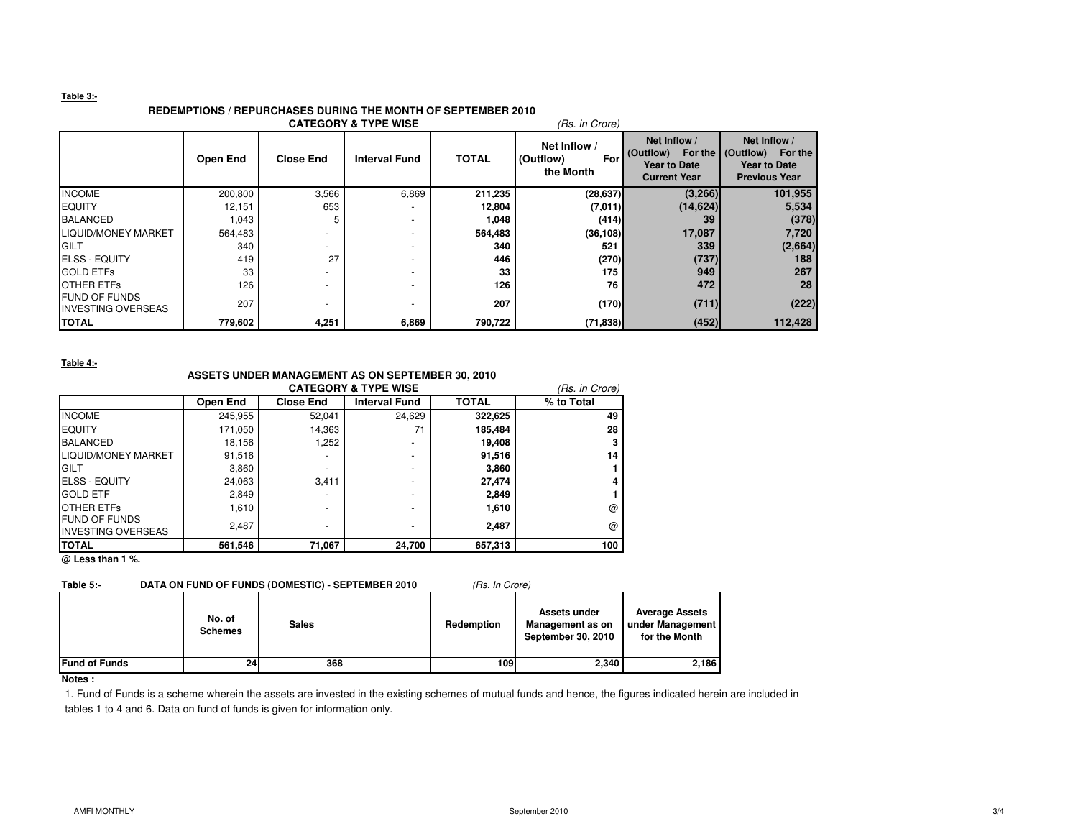### **Table 3:-**

# **REDEMPTIONS / REPURCHASES DURING THE MONTH OF SEPTEMBER 2010**

|                                                   |          |                          | <b>CATEGORY &amp; TYPE WISE</b> |              | (Rs. in Crore)                                |                                                                                                   |                                                             |
|---------------------------------------------------|----------|--------------------------|---------------------------------|--------------|-----------------------------------------------|---------------------------------------------------------------------------------------------------|-------------------------------------------------------------|
|                                                   | Open End | <b>Close End</b>         | <b>Interval Fund</b>            | <b>TOTAL</b> | Net Inflow /<br>(Outflow)<br>For<br>the Month | Net Inflow /<br>(Outflow) For the (Outflow) For the<br><b>Year to Date</b><br><b>Current Year</b> | Net Inflow /<br><b>Year to Date</b><br><b>Previous Year</b> |
| <b>INCOME</b>                                     | 200,800  | 3,566                    | 6,869                           | 211,235      | (28, 637)                                     | (3, 266)                                                                                          | 101,955                                                     |
| <b>EQUITY</b>                                     | 12,151   | 653                      |                                 | 12,804       | (7,011)                                       | (14, 624)                                                                                         | 5,534                                                       |
| <b>BALANCED</b>                                   | 1,043    | 5                        |                                 | 1,048        | (414)                                         | 39                                                                                                | (378)                                                       |
| LIQUID/MONEY MARKET                               | 564,483  |                          |                                 | 564,483      | (36, 108)                                     | 17,087                                                                                            | 7,720                                                       |
| <b>GILT</b>                                       | 340      |                          |                                 | 340          | 521                                           | 339                                                                                               | (2,664)                                                     |
| <b>IELSS - EQUITY</b>                             | 419      | 27                       |                                 | 446          | (270)                                         | (737)                                                                                             | 188                                                         |
| <b>GOLD ETFs</b>                                  | 33       |                          |                                 | 33           | 175                                           | 949                                                                                               | 267                                                         |
| <b>OTHER ETFS</b>                                 | 126      |                          |                                 | 126          | 76                                            | 472                                                                                               | 28                                                          |
| <b>FUND OF FUNDS</b><br><b>INVESTING OVERSEAS</b> | 207      | $\overline{\phantom{a}}$ |                                 | 207          | (170)                                         | (711)                                                                                             | (222)                                                       |
| <b>TOTAL</b>                                      | 779,602  | 4,251                    | 6,869                           | 790,722      | (71, 838)                                     | (452)                                                                                             | 112,428                                                     |

#### **Table 4:-**

## **ASSETS UNDER MANAGEMENT AS ON SEPTEMBER 30, 2010**

|                                                   |          |                  | <b>CATEGORY &amp; TYPE WISE</b> |              | (Rs. in Crore) |
|---------------------------------------------------|----------|------------------|---------------------------------|--------------|----------------|
|                                                   | Open End | <b>Close End</b> | <b>Interval Fund</b>            | <b>TOTAL</b> | % to Total     |
| <b>INCOME</b>                                     | 245,955  | 52.041           | 24,629                          | 322,625      | 49             |
| <b>IEQUITY</b>                                    | 171,050  | 14,363           | 71                              | 185,484      | 28             |
| <b>BALANCED</b>                                   | 18,156   | 1.252            | -                               | 19,408       |                |
| LIQUID/MONEY MARKET                               | 91,516   |                  | ٠                               | 91,516       | 14             |
| <b>GILT</b>                                       | 3,860    |                  | ٠                               | 3,860        |                |
| <b>IELSS - EQUITY</b>                             | 24,063   | 3.411            | -                               | 27.474       |                |
| <b>GOLD ETF</b>                                   | 2,849    |                  | ٠                               | 2,849        |                |
| <b>OTHER ETFS</b>                                 | 1,610    |                  | -                               | 1,610        | @              |
| <b>FUND OF FUNDS</b><br><b>INVESTING OVERSEAS</b> | 2,487    |                  | ۰                               | 2.487        | @              |
| <b>ITOTAL</b>                                     | 561,546  | 71,067           | 24,700                          | 657,313      | 100            |

**@ Less than 1 %.**

# **Table 5:-** DATA ON FUND OF FUNDS (DOMESTIC) - SEPTEMBER 2010 (Rs. In Crore)

|                      | No. of<br><b>Schemes</b> | <b>Sales</b> | Redemption | Assets under<br>Management as on<br>September 30, 2010 | <b>Average Assets</b><br>under Management<br>for the Month |
|----------------------|--------------------------|--------------|------------|--------------------------------------------------------|------------------------------------------------------------|
| <b>Fund of Funds</b> | 24                       | 368          | 109l       | 2.340                                                  | 2,186                                                      |

### **Notes :**

 1. Fund of Funds is a scheme wherein the assets are invested in the existing schemes of mutual funds and hence, the figures indicated herein are included in tables 1 to 4 and 6. Data on fund of funds is given for information only.